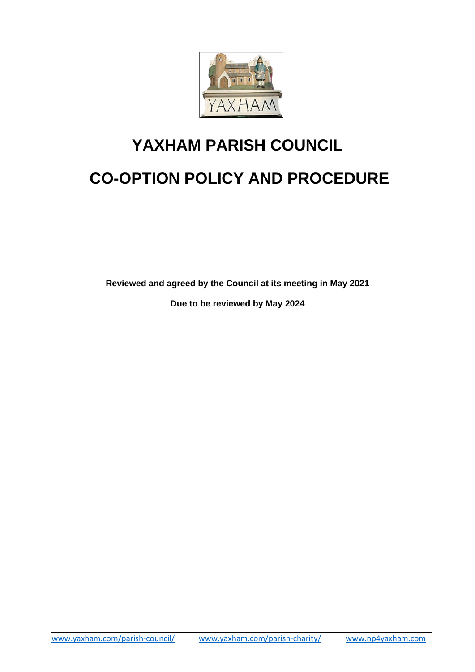

# **YAXHAM PARISH COUNCIL CO-OPTION POLICY AND PROCEDURE**

**Reviewed and agreed by the Council at its meeting in May 2021**

**Due to be reviewed by May 2024**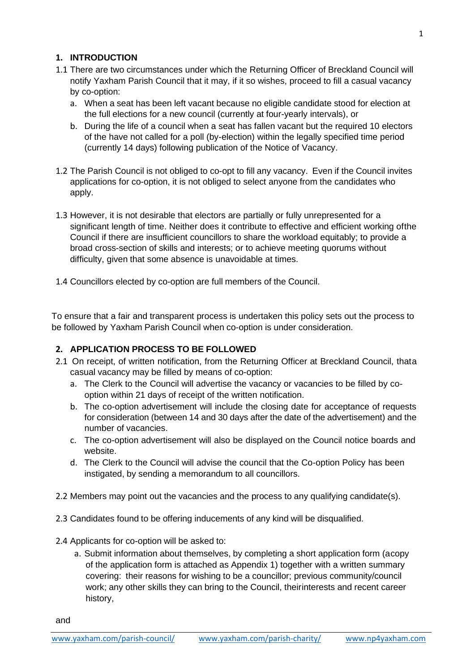## **1. INTRODUCTION**

- 1.1 There are two circumstances under which the Returning Officer of Breckland Council will notify Yaxham Parish Council that it may, if it so wishes, proceed to fill a casual vacancy by co-option:
	- a. When a seat has been left vacant because no eligible candidate stood for election at the full elections for a new council (currently at four-yearly intervals), or
	- b. During the life of a council when a seat has fallen vacant but the required 10 electors of the have not called for a poll (by-election) within the legally specified time period (currently 14 days) following publication of the Notice of Vacancy.
- 1.2 The Parish Council is not obliged to co-opt to fill any vacancy. Even if the Council invites applications for co-option, it is not obliged to select anyone from the candidates who apply.
- 1.3 However, it is not desirable that electors are partially or fully unrepresented for a significant length of time. Neither does it contribute to effective and efficient working ofthe Council if there are insufficient councillors to share the workload equitably; to provide a broad cross-section of skills and interests; or to achieve meeting quorums without difficulty, given that some absence is unavoidable at times.
- 1.4 Councillors elected by co-option are full members of the Council.

To ensure that a fair and transparent process is undertaken this policy sets out the process to be followed by Yaxham Parish Council when co-option is under consideration.

### **2. APPLICATION PROCESS TO BE FOLLOWED**

- 2.1 On receipt, of written notification, from the Returning Officer at Breckland Council, thata casual vacancy may be filled by means of co-option:
	- a. The Clerk to the Council will advertise the vacancy or vacancies to be filled by cooption within 21 days of receipt of the written notification.
	- b. The co-option advertisement will include the closing date for acceptance of requests for consideration (between 14 and 30 days after the date of the advertisement) and the number of vacancies.
	- c. The co-option advertisement will also be displayed on the Council notice boards and website.
	- d. The Clerk to the Council will advise the council that the Co-option Policy has been instigated, by sending a memorandum to all councillors.
- 2.2 Members may point out the vacancies and the process to any qualifying candidate(s).
- 2.3 Candidates found to be offering inducements of any kind will be disqualified.
- 2.4 Applicants for co-option will be asked to:

and

a. Submit information about themselves, by completing a short application form (acopy of the application form is attached as Appendix 1) together with a written summary covering: their reasons for wishing to be a councillor; previous community/council work; any other skills they can bring to the Council, theirinterests and recent career history,